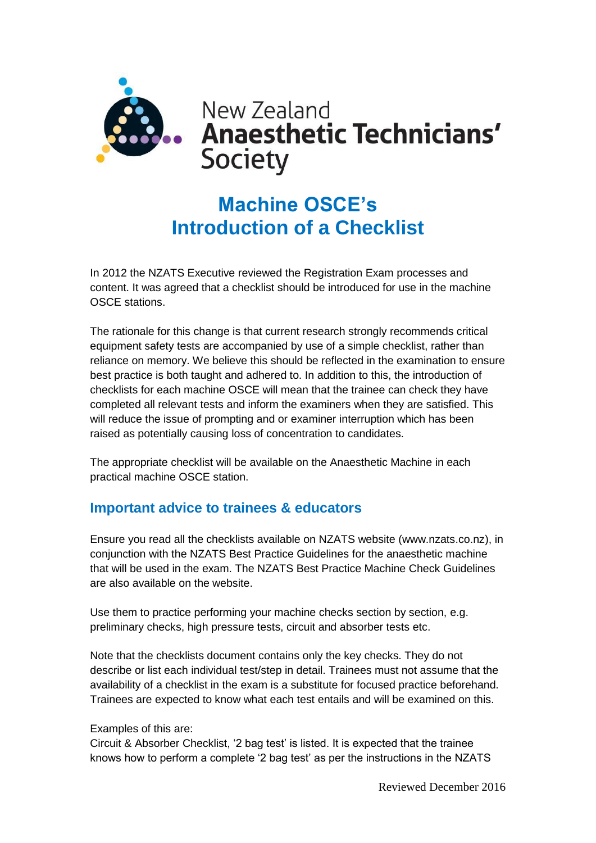

## **Machine OSCE's Introduction of a Checklist**

In 2012 the NZATS Executive reviewed the Registration Exam processes and content. It was agreed that a checklist should be introduced for use in the machine OSCE stations.

The rationale for this change is that current research strongly recommends critical equipment safety tests are accompanied by use of a simple checklist, rather than reliance on memory. We believe this should be reflected in the examination to ensure best practice is both taught and adhered to. In addition to this, the introduction of checklists for each machine OSCE will mean that the trainee can check they have completed all relevant tests and inform the examiners when they are satisfied. This will reduce the issue of prompting and or examiner interruption which has been raised as potentially causing loss of concentration to candidates.

The appropriate checklist will be available on the Anaesthetic Machine in each practical machine OSCE station.

## **Important advice to trainees & educators**

Ensure you read all the checklists available on NZATS website (www.nzats.co.nz), in conjunction with the NZATS Best Practice Guidelines for the anaesthetic machine that will be used in the exam. The NZATS Best Practice Machine Check Guidelines are also available on the website.

Use them to practice performing your machine checks section by section, e.g. preliminary checks, high pressure tests, circuit and absorber tests etc.

Note that the checklists document contains only the key checks. They do not describe or list each individual test/step in detail. Trainees must not assume that the availability of a checklist in the exam is a substitute for focused practice beforehand. Trainees are expected to know what each test entails and will be examined on this.

## Examples of this are:

Circuit & Absorber Checklist, '2 bag test' is listed. It is expected that the trainee knows how to perform a complete '2 bag test' as per the instructions in the NZATS